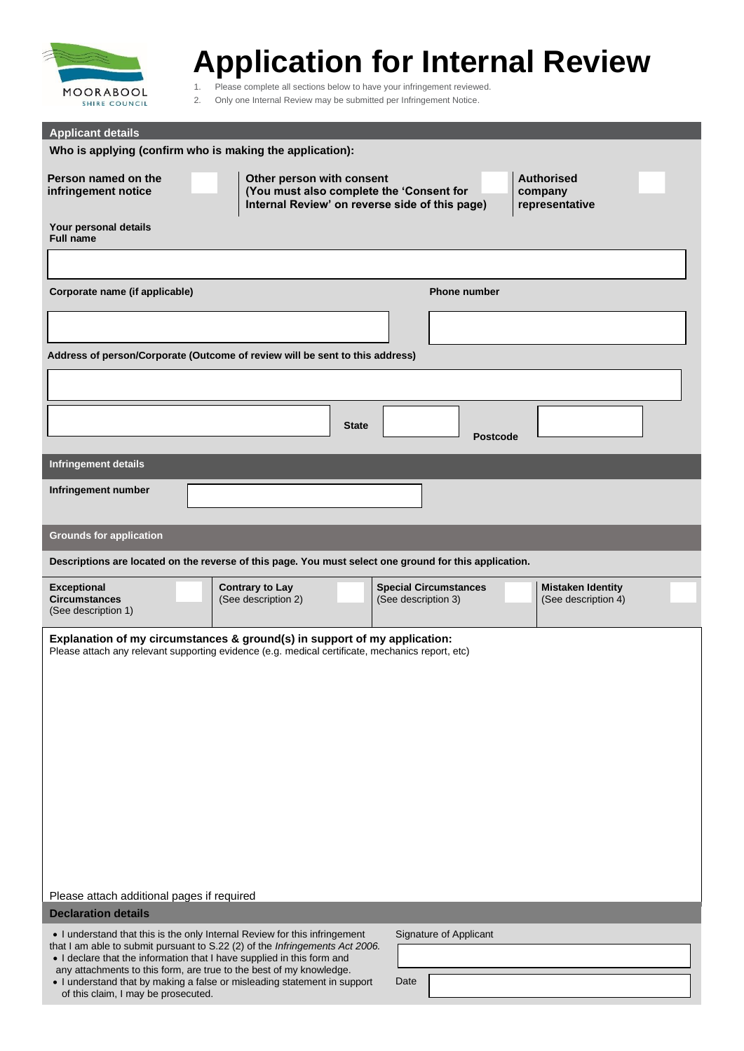

# **Application for Internal Review**

1. Please complete all sections below to have your infringement reviewed.<br>2. Only one Internal Review may be submitted per Infringement Notice.

2. Only one Internal Review may be submitted per Infringement Notice. **for inte**

| <b>Applicant details</b>                                                                                                                                                                                                                                                                                                                                                                                                       |                                                                       |                        |                                                     |                 |                                                 |  |  |
|--------------------------------------------------------------------------------------------------------------------------------------------------------------------------------------------------------------------------------------------------------------------------------------------------------------------------------------------------------------------------------------------------------------------------------|-----------------------------------------------------------------------|------------------------|-----------------------------------------------------|-----------------|-------------------------------------------------|--|--|
| Who is applying (confirm who is making the application):                                                                                                                                                                                                                                                                                                                                                                       |                                                                       |                        |                                                     |                 |                                                 |  |  |
| Person named on the<br>infringement notice                                                                                                                                                                                                                                                                                                                                                                                     | Other person with consent<br>(You must also complete the 'Consent for |                        | Internal Review' on reverse side of this page)      |                 | <b>Authorised</b><br>company<br>representative  |  |  |
| Your personal details<br><b>Full name</b>                                                                                                                                                                                                                                                                                                                                                                                      |                                                                       |                        |                                                     |                 |                                                 |  |  |
|                                                                                                                                                                                                                                                                                                                                                                                                                                |                                                                       |                        |                                                     |                 |                                                 |  |  |
| Corporate name (if applicable)                                                                                                                                                                                                                                                                                                                                                                                                 |                                                                       |                        | <b>Phone number</b>                                 |                 |                                                 |  |  |
|                                                                                                                                                                                                                                                                                                                                                                                                                                |                                                                       |                        |                                                     |                 |                                                 |  |  |
| Address of person/Corporate (Outcome of review will be sent to this address)                                                                                                                                                                                                                                                                                                                                                   |                                                                       |                        |                                                     |                 |                                                 |  |  |
|                                                                                                                                                                                                                                                                                                                                                                                                                                |                                                                       |                        |                                                     |                 |                                                 |  |  |
|                                                                                                                                                                                                                                                                                                                                                                                                                                |                                                                       |                        |                                                     |                 |                                                 |  |  |
|                                                                                                                                                                                                                                                                                                                                                                                                                                |                                                                       | <b>State</b>           |                                                     | <b>Postcode</b> |                                                 |  |  |
| <b>Infringement details</b>                                                                                                                                                                                                                                                                                                                                                                                                    |                                                                       |                        |                                                     |                 |                                                 |  |  |
| Infringement number                                                                                                                                                                                                                                                                                                                                                                                                            |                                                                       |                        |                                                     |                 |                                                 |  |  |
| <b>Grounds for application</b>                                                                                                                                                                                                                                                                                                                                                                                                 |                                                                       |                        |                                                     |                 |                                                 |  |  |
| Descriptions are located on the reverse of this page. You must select one ground for this application.                                                                                                                                                                                                                                                                                                                         |                                                                       |                        |                                                     |                 |                                                 |  |  |
| <b>Exceptional</b><br><b>Circumstances</b><br>(See description 1)                                                                                                                                                                                                                                                                                                                                                              | <b>Contrary to Lay</b><br>(See description 2)                         |                        | <b>Special Circumstances</b><br>(See description 3) |                 | <b>Mistaken Identity</b><br>(See description 4) |  |  |
| Explanation of my circumstances & ground(s) in support of my application:<br>Please attach any relevant supporting evidence (e.g. medical certificate, mechanics report, etc)                                                                                                                                                                                                                                                  |                                                                       |                        |                                                     |                 |                                                 |  |  |
|                                                                                                                                                                                                                                                                                                                                                                                                                                |                                                                       |                        |                                                     |                 |                                                 |  |  |
|                                                                                                                                                                                                                                                                                                                                                                                                                                |                                                                       |                        |                                                     |                 |                                                 |  |  |
|                                                                                                                                                                                                                                                                                                                                                                                                                                |                                                                       |                        |                                                     |                 |                                                 |  |  |
|                                                                                                                                                                                                                                                                                                                                                                                                                                |                                                                       |                        |                                                     |                 |                                                 |  |  |
|                                                                                                                                                                                                                                                                                                                                                                                                                                |                                                                       |                        |                                                     |                 |                                                 |  |  |
|                                                                                                                                                                                                                                                                                                                                                                                                                                |                                                                       |                        |                                                     |                 |                                                 |  |  |
|                                                                                                                                                                                                                                                                                                                                                                                                                                |                                                                       |                        |                                                     |                 |                                                 |  |  |
|                                                                                                                                                                                                                                                                                                                                                                                                                                |                                                                       |                        |                                                     |                 |                                                 |  |  |
| Please attach additional pages if required<br><b>Declaration details</b>                                                                                                                                                                                                                                                                                                                                                       |                                                                       |                        |                                                     |                 |                                                 |  |  |
| . I understand that this is the only Internal Review for this infringement<br>that I am able to submit pursuant to S.22 (2) of the Infringements Act 2006.<br>. I declare that the information that I have supplied in this form and<br>any attachments to this form, are true to the best of my knowledge.<br>. I understand that by making a false or misleading statement in support<br>of this claim, I may be prosecuted. |                                                                       | Signature of Applicant |                                                     |                 |                                                 |  |  |
|                                                                                                                                                                                                                                                                                                                                                                                                                                |                                                                       |                        |                                                     |                 |                                                 |  |  |
|                                                                                                                                                                                                                                                                                                                                                                                                                                |                                                                       | Date                   |                                                     |                 |                                                 |  |  |